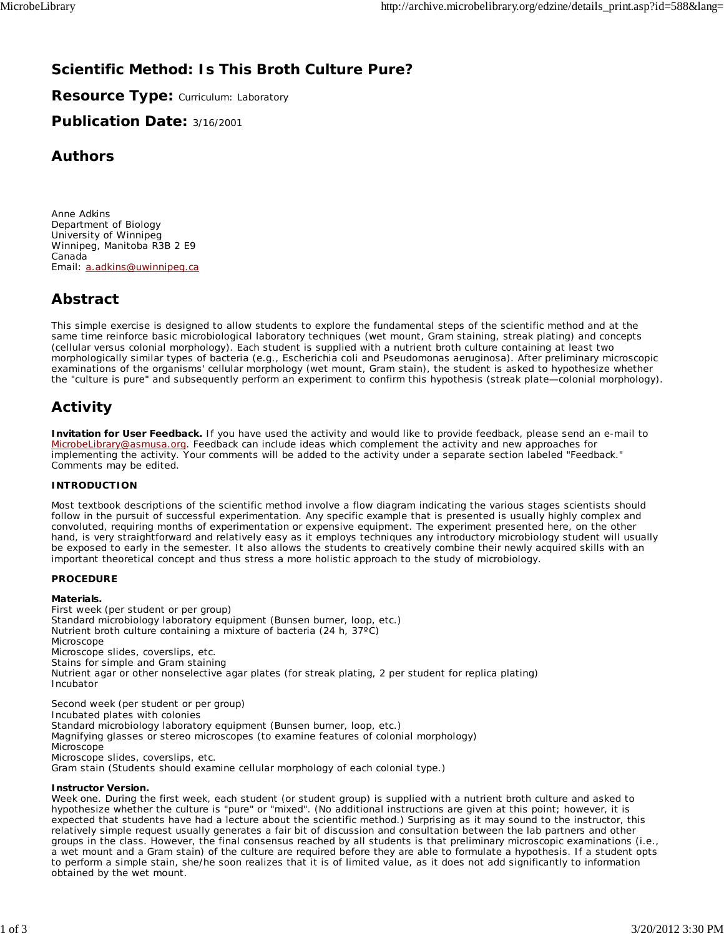## **Scientific Method: Is This Broth Culture Pure?**

**Resource Type: Curriculum: Laboratory** 

**Publication Date:** 3/16/2001

## **Authors**

*Anne Adkins* Department of Biology University of Winnipeg Winnipeg, Manitoba R3B 2 E9 Canada Email: a.adkins@uwinnipeg.ca

## **Abstract**

This simple exercise is designed to allow students to explore the fundamental steps of the scientific method and at the same time reinforce basic microbiological laboratory techniques (wet mount, Gram staining, streak plating) and concepts (cellular versus colonial morphology). Each student is supplied with a nutrient broth culture containing at least two morphologically similar types of bacteria (e.g., *Escherichia coli* and *Pseudomonas aeruginosa*). After preliminary microscopic examinations of the organisms' cellular morphology (wet mount, Gram stain), the student is asked to hypothesize whether the "culture is pure" and subsequently perform an experiment to confirm this hypothesis (streak plate—colonial morphology).

# **Activity**

**Invitation for User Feedback.** If you have used the activity and would like to provide feedback, please send an e-mail to MicrobeLibrary@asmusa.org. Feedback can include ideas which complement the activity and new approaches for implementing the activity. Your comments will be added to the activity under a separate section labeled "Feedback." Comments may be edited.

#### **INTRODUCTION**

Most textbook descriptions of the scientific method involve a flow diagram indicating the various stages scientists should follow in the pursuit of successful experimentation. Any specific example that is presented is usually highly complex and convoluted, requiring months of experimentation or expensive equipment. The experiment presented here, on the other hand, is very straightforward and relatively easy as it employs techniques any introductory microbiology student will usually be exposed to early in the semester. It also allows the students to creatively combine their newly acquired skills with an important theoretical concept and thus stress a more holistic approach to the study of microbiology.

#### **PROCEDURE**

#### **Materials.**

*First week (per student or per group)* Standard microbiology laboratory equipment (Bunsen burner, loop, etc.) Nutrient broth culture containing a mixture of bacteria (24 h, 37ºC) Microscope Microscope slides, coverslips, etc. Stains for simple and Gram staining Nutrient agar or other nonselective agar plates (for streak plating, 2 per student for replica plating) Incubator

*Second week (per student or per group)* Incubated plates with colonies Standard microbiology laboratory equipment (Bunsen burner, loop, etc.) Magnifying glasses or stereo microscopes (to examine features of colonial morphology) **Microscope** Microscope slides, coverslips, etc. Gram stain (Students should examine cellular morphology of each colonial type.)

#### **Instructor Version.**

*Week one*. During the first week, each student (or student group) is supplied with a nutrient broth culture and asked to hypothesize whether the culture is "pure" or "mixed". (No additional instructions are given at this point; however, it is expected that students have had a lecture about the scientific method.) Surprising as it may sound to the instructor, this relatively simple request usually generates a fair bit of discussion and consultation between the lab partners and other groups in the class. However, the final consensus reached by all students is that preliminary microscopic examinations (i.e., a wet mount and a Gram stain) of the culture are required before they are able to formulate a hypothesis. If a student opts to perform a simple stain, she/he soon realizes that it is of limited value, as it does not add significantly to information obtained by the wet mount.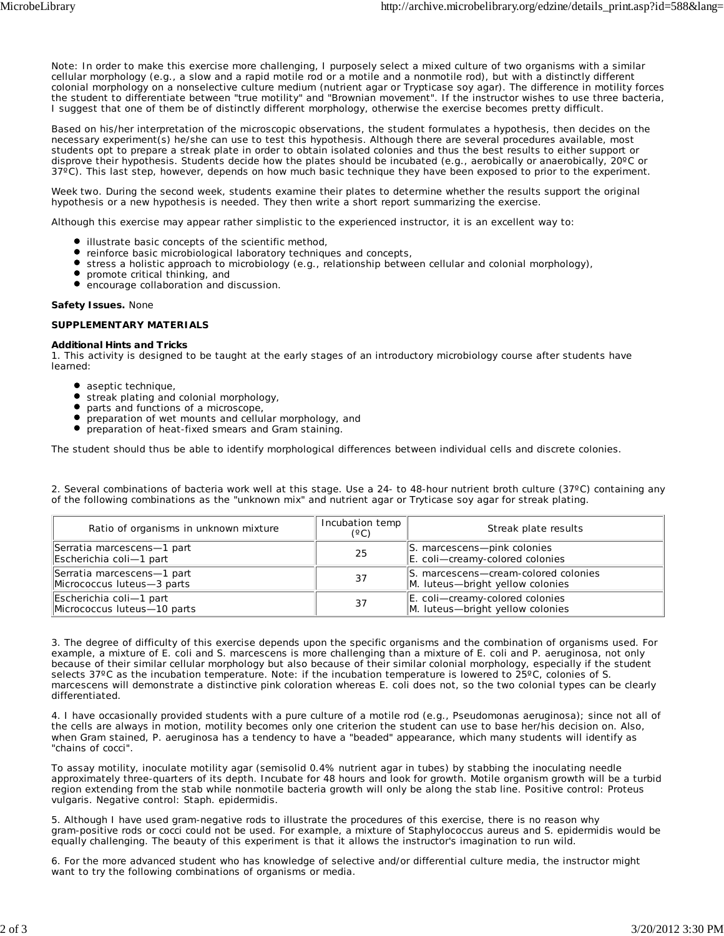Note: In order to make this exercise more challenging, I purposely select a mixed culture of two organisms with a similar cellular morphology (e.g., a slow and a rapid motile rod or a motile and a nonmotile rod), but with a distinctly different colonial morphology on a nonselective culture medium (nutrient agar or Trypticase soy agar). The difference in motility forces the student to differentiate between "true motility" and "Brownian movement". If the instructor wishes to use three bacteria, I suggest that one of them be of distinctly different morphology, otherwise the exercise becomes pretty difficult.

Based on his/her interpretation of the microscopic observations, the student formulates a hypothesis, then decides on the necessary experiment(s) he/she can use to test this hypothesis. Although there are several procedures available, most students opt to prepare a streak plate in order to obtain isolated colonies and thus the best results to either support or disprove their hypothesis. Students decide how the plates should be incubated (e.g., aerobically or anaerobically, 20ºC or 37ºC). This last step, however, depends on how much basic technique they have been exposed to prior to the experiment.

*Week two*. During the second week, students examine their plates to determine whether the results support the original hypothesis or a new hypothesis is needed. They then write a short report summarizing the exercise.

Although this exercise may appear rather simplistic to the experienced instructor, it is an excellent way to:

- illustrate basic concepts of the scientific method,
- reinforce basic microbiological laboratory techniques and concepts,
- $\bullet$ stress a holistic approach to microbiology (e.g., relationship between cellular and colonial morphology),
- $\bullet$ promote critical thinking, and
- encourage collaboration and discussion.

**Safety Issues.** None

#### **SUPPLEMENTARY MATERIALS**

#### **Additional Hints and Tricks**

1. This activity is designed to be taught at the early stages of an introductory microbiology course after students have learned:

- aseptic technique,
- **•** streak plating and colonial morphology,
- parts and functions of a microscope,
- preparation of wet mounts and cellular morphology, and
- preparation of heat-fixed smears and Gram staining.

The student should thus be able to identify morphological differences between individual cells and discrete colonies.

2. Several combinations of bacteria work well at this stage. Use a 24- to 48-hour nutrient broth culture (37ºC) containing any of the following combinations as the "unknown mix" and nutrient agar or Tryticase soy agar for streak plating.

| Ratio of organisms in unknown mixture                    | Incubation temp<br>(°C) | Streak plate results                                                     |
|----------------------------------------------------------|-------------------------|--------------------------------------------------------------------------|
| Serratia marcescens-1 part<br>Escherichia coli-1 part    | 25                      | S. marcescens-pink colonies<br>E. coli-creamy-colored colonies           |
| Serratia marcescens-1 part<br>Micrococcus luteus-3 parts | 37                      | S. marcescens-cream-colored colonies<br>M. luteus-bright yellow colonies |
| Escherichia coli-1 part<br>Micrococcus luteus-10 parts   | 37                      | E. coli-creamy-colored colonies<br>M. luteus-bright yellow colonies      |

3. The degree of difficulty of this exercise depends upon the specific organisms and the combination of organisms used. For example, a mixture of *E. coli* and *S. marcescens* is more challenging than a mixture of *E. coli* and *P. aeruginosa*, not only because of their similar cellular morphology but also because of their similar colonial morphology, especially if the student selects 37ºC as the incubation temperature. Note: if the incubation temperature is lowered to 25ºC, colonies of *S. marcescens* will demonstrate a distinctive pink coloration whereas *E. coli* does not, so the two colonial types can be clearly differentiated.

4. I have occasionally provided students with a pure culture of a motile rod (e.g., *Pseudomonas aeruginosa*); since not all of the cells are always in motion, motility becomes only one criterion the student can use to base her/his decision on. Also, when Gram stained, *P. aeruginosa* has a tendency to have a "beaded" appearance, which many students will identify as "chains of cocci".

To assay motility, inoculate motility agar (semisolid 0.4% nutrient agar in tubes) by stabbing the inoculating needle approximately three-quarters of its depth. Incubate for 48 hours and look for growth. Motile organism growth will be a turbid region extending from the stab while nonmotile bacteria growth will only be along the stab line. Positive control: *Proteus vulgaris*. Negative control: *Staph. epidermidis.*

5. Although I have used gram-negative rods to illustrate the procedures of this exercise, there is no reason why gram-positive rods or cocci could not be used. For example, a mixture of *Staphylococcus aureus* and *S. epidermidis* would be equally challenging. The beauty of this experiment is that it allows the instructor's imagination to run wild.

6. For the more advanced student who has knowledge of selective and/or differential culture media, the instructor might want to try the following combinations of organisms or media.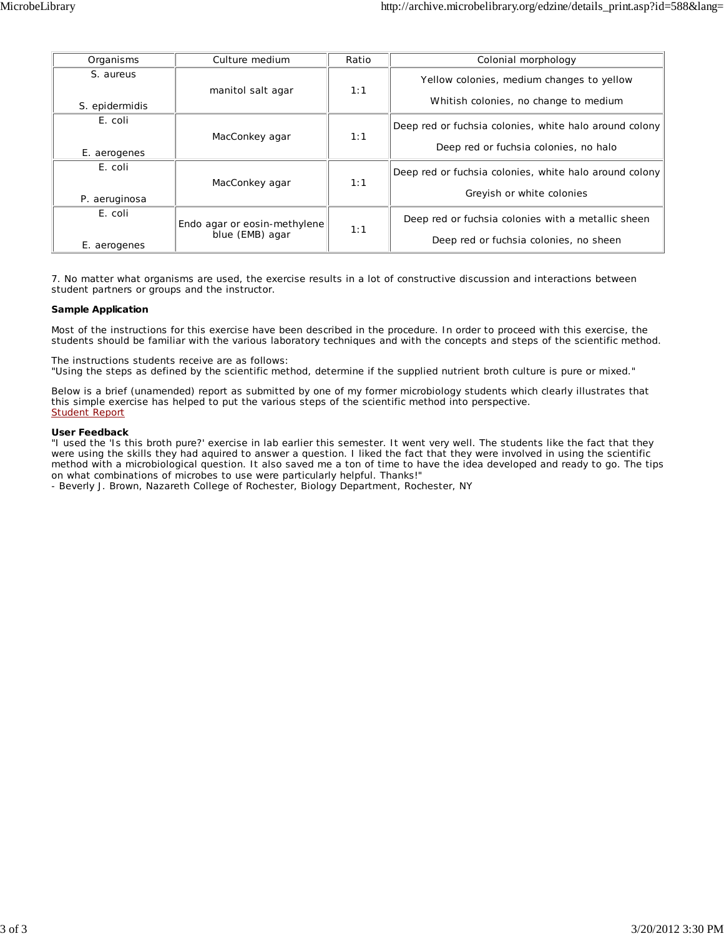| Organisms      | Culture medium                                  | Ratio | Colonial morphology                                    |
|----------------|-------------------------------------------------|-------|--------------------------------------------------------|
| S. aureus      | manitol salt agar                               | 1:1   | Yellow colonies, medium changes to yellow              |
| S. epidermidis |                                                 |       | Whitish colonies, no change to medium                  |
| E. coli        |                                                 |       | Deep red or fuchsia colonies, white halo around colony |
| E. aerogenes   | MacConkey agar                                  | 1:1   | Deep red or fuchsia colonies, no halo                  |
| E. coli        |                                                 |       | Deep red or fuchsia colonies, white halo around colony |
| P. aeruginosa  | MacConkey agar                                  | 1:1   | Greyish or white colonies                              |
| E. coli        | Endo agar or eosin-methylene<br>blue (EMB) agar | 1:1   | Deep red or fuchsia colonies with a metallic sheen     |
| E. aerogenes   |                                                 |       | Deep red or fuchsia colonies, no sheen                 |

7. No matter what organisms are used, the exercise results in a lot of constructive discussion and interactions between student partners or groups and the instructor.

#### **Sample Application**

Most of the instructions for this exercise have been described in the procedure. In order to proceed with this exercise, the students should be familiar with the various laboratory techniques and with the concepts and steps of the scientific method.

The instructions students receive are as follows:

"Using the steps as defined by the scientific method, determine if the supplied nutrient broth culture is pure or mixed."

Below is a brief (unamended) report as submitted by one of my former microbiology students which clearly illustrates that this simple exercise has helped to put the various steps of the scientific method into perspective. Student Report

#### **User Feedback**

"I used the 'Is this broth pure?' exercise in lab earlier this semester. It went very well. The students like the fact that they were using the skills they had aquired to answer a question. I liked the fact that they were involved in using the scientific method with a microbiological question. It also saved me a ton of time to have the idea developed and ready to go. The tips on what combinations of microbes to use were particularly helpful. Thanks!"

- Beverly J. Brown, Nazareth College of Rochester, Biology Department, Rochester, NY